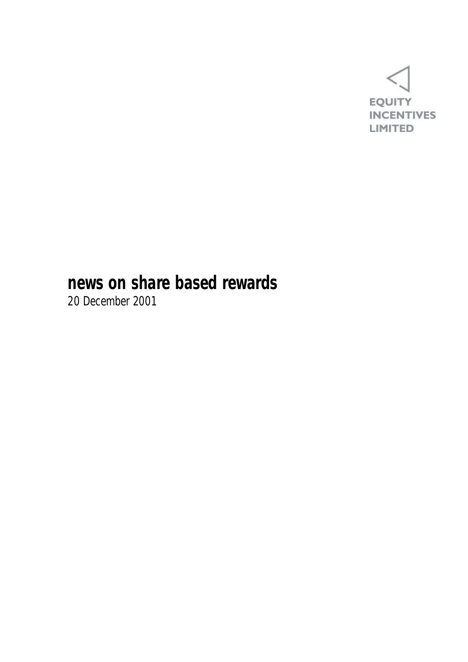

## **news on share based rewards**

20 December 2001